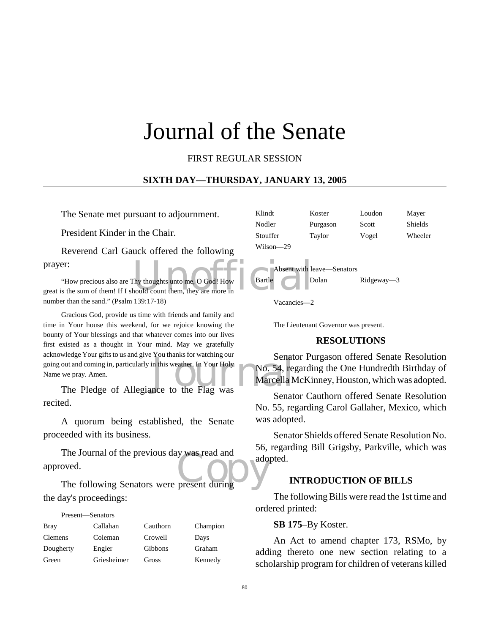# Journal of the Senate

FIRST REGULAR SESSION

## **SIXTH DAY—THURSDAY, JANUARY 13, 2005**

The Senate met pursuant to adjournment.

President Kinder in the Chair.

Reverend Carl Gauck offered the following prayer:

Thy thoughts unto me, O God! How Bartle D<br>hould count them, they are more in "How precious also are Thy thoughts unto me, O God! How great is the sum of them! If I should count them, they are more in number than the sand." (Psalm 139:17-18)

Senat out and coming in, particularly in this weather. In Your Holy<br>
we pray. Amen.<br>
The Pledge of Allegiance to the Flag was Gracious God, provide us time with friends and family and time in Your house this weekend, for we rejoice knowing the bounty of Your blessings and that whatever comes into our lives first existed as a thought in Your mind. May we gratefully acknowledge Your gifts to us and give You thanks for watching our going out and coming in, particularly in this weather. In Your Holy Name we pray. Amen.

recited.

A quorum being established, the Senate proceeded with its business.

The Journal of the previous day was read and<br>
oved.<br>
The following Senators were present during The Journal of the previous day was read and approved.

the day's proceedings:

Present—Senators

| <b>Bray</b>    | Callahan    | Cauthorn | Champion |
|----------------|-------------|----------|----------|
| <b>Clemens</b> | Coleman     | Crowell  | Days     |
| Dougherty      | Engler      | Gibbons  | Graham   |
| Green          | Griesheimer | Gross    | Kennedy  |

| Klindt    | Koster   | Loudon | Mayer   |
|-----------|----------|--------|---------|
| Nodler    | Purgason | Scott  | Shields |
| Stouffer  | Taylor   | Vogel  | Wheeler |
| Wilson—29 |          |        |         |



Vacancies—2

The Lieutenant Governor was present.

#### **RESOLUTIONS**

Senator Purgason offered Senate Resolution No. 54, regarding the One Hundredth Birthday of Marcella McKinney, Houston, which was adopted.

Senator Cauthorn offered Senate Resolution No. 55, regarding Carol Gallaher, Mexico, which was adopted.

Senator Shields offered Senate Resolution No. 56, regarding Bill Grigsby, Parkville, which was adopted.

## **INTRODUCTION OF BILLS**

The following Bills were read the 1st time and ordered printed:

## **SB 175**–By Koster.

An Act to amend chapter 173, RSMo, by adding thereto one new section relating to a scholarship program for children of veterans killed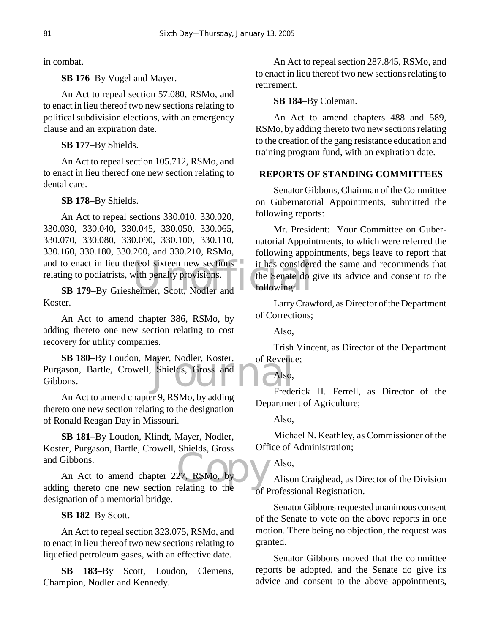in combat.

**SB 176**–By Vogel and Mayer.

An Act to repeal section 57.080, RSMo, and to enact in lieu thereof two new sections relating to political subdivision elections, with an emergency clause and an expiration date.

**SB 177**–By Shields.

An Act to repeal section 105.712, RSMo, and to enact in lieu thereof one new section relating to dental care.

**SB 178**–By Shields.

The total considering to podiatrists, with penalty provisions.<br>
SB 179–By Griesheimer, Scott, Nodler and The Senate do sensidering: An Act to repeal sections 330.010, 330.020, 330.030, 330.040, 330.045, 330.050, 330.065, 330.070, 330.080, 330.090, 330.100, 330.110, 330.160, 330.180, 330.200, and 330.210, RSMo, and to enact in lieu thereof sixteen new sections relating to podiatrists, with penalty provisions.

Koster.

An Act to amend chapter 386, RSMo, by adding thereto one new section relating to cost recovery for utility companies.

Shields, Gross and<br>
Shields, Gross and<br>
The Also,<br>
Frede **SB 180**–By Loudon, Mayer, Nodler, Koster, Purgason, Bartle, Crowell, Shields, Gross and Gibbons.

An Act to amend chapter 9, RSMo, by adding thereto one new section relating to the designation of Ronald Reagan Day in Missouri.

**SB 181**–By Loudon, Klindt, Mayer, Nodler, Koster, Purgason, Bartle, Crowell, Shields, Gross and Gibbons.

and Gibbons.<br>
An Act to amend chapter 227, RSMo, by<br>
adding thereto one new section relating to the An Act to amend chapter 227, RSMo, by designation of a memorial bridge.

**SB 182**–By Scott.

An Act to repeal section 323.075, RSMo, and to enact in lieu thereof two new sections relating to liquefied petroleum gases, with an effective date.

**SB 183**–By Scott, Loudon, Clemens, Champion, Nodler and Kennedy.

An Act to repeal section 287.845, RSMo, and to enact in lieu thereof two new sections relating to retirement.

## **SB 184**–By Coleman.

An Act to amend chapters 488 and 589, RSMo, by adding thereto two new sections relating to the creation of the gang resistance education and training program fund, with an expiration date.

## **REPORTS OF STANDING COMMITTEES**

Senator Gibbons, Chairman of the Committee on Gubernatorial Appointments, submitted the following reports:

Mr. President: Your Committee on Gubernatorial Appointments, to which were referred the following appointments, begs leave to report that it has considered the same and recommends that the Senate do give its advice and consent to the following:

Larry Crawford, as Director of the Department of Corrections;

Also,

Trish Vincent, as Director of the Department of Revenue;

# Also,

Frederick H. Ferrell, as Director of the Department of Agriculture;

Also,

Michael N. Keathley, as Commissioner of the Office of Administration;

 $\overline{\phantom{a}}$  Also.

Alison Craighead, as Director of the Division of Professional Registration.

Senator Gibbons requested unanimous consent of the Senate to vote on the above reports in one motion. There being no objection, the request was granted.

Senator Gibbons moved that the committee reports be adopted, and the Senate do give its advice and consent to the above appointments,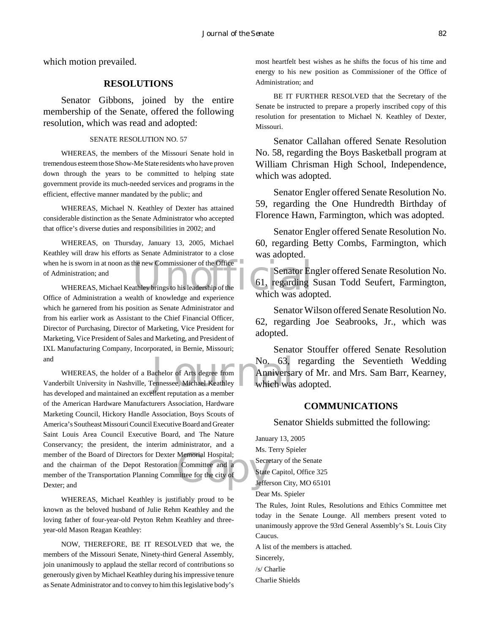which motion prevailed.

## **RESOLUTIONS**

Senator Gibbons, joined by the entire membership of the Senate, offered the following resolution, which was read and adopted:

#### SENATE RESOLUTION NO. 57

WHEREAS, the members of the Missouri Senate hold in tremendous esteem those Show-Me State residents who have proven down through the years to be committed to helping state government provide its much-needed services and programs in the efficient, effective manner mandated by the public; and

WHEREAS, Michael N. Keathley of Dexter has attained considerable distinction as the Senate Administrator who accepted that office's diverse duties and responsibilities in 2002; and

when he is sworn in at noon as the new Commissioner of the Office<br>
of Administration; and<br>
WHEREAS, Michael Keathley brings to his leadership of the<br>
Office of Administration a wealth of knowledge and experience<br>
Which was WHEREAS, on Thursday, January 13, 2005, Michael Keathley will draw his efforts as Senate Administrator to a close of Administration; and

WHEREAS, Michael Keathley brings to his leadership of the Office of Administration a wealth of knowledge and experience which he garnered from his position as Senate Administrator and from his earlier work as Assistant to the Chief Financial Officer, Director of Purchasing, Director of Marketing, Vice President for Marketing, Vice President of Sales and Marketing, and President of IXL Manufacturing Company, Incorporated, in Bernie, Missouri; and

No. 63,<br>achelor of Arts degree from **Anniversa**<br>Pennessee, Michael Keathley **Michael Khaller**<br>Nullent reputation as a member Memorial Hospital;<br>
Committee and a<br>
State<br>
State<br>
State<br>
Jeffe WHEREAS, the holder of a Bachelor of Arts degree from Vanderbilt University in Nashville, Tennessee, Michael Keathley has developed and maintained an excellent reputation as a member of the American Hardware Manufacturers Association, Hardware Marketing Council, Hickory Handle Association, Boys Scouts of America's Southeast Missouri Council Executive Board and Greater Saint Louis Area Council Executive Board, and The Nature Conservancy; the president, the interim administrator, and a member of the Board of Directors for Dexter Memorial Hospital; and the chairman of the Depot Restoration Committee and a member of the Transportation Planning Committee for the city of Dexter; and

WHEREAS, Michael Keathley is justifiably proud to be known as the beloved husband of Julie Rehm Keathley and the loving father of four-year-old Peyton Rehm Keathley and threeyear-old Mason Reagan Keathley:

NOW, THEREFORE, BE IT RESOLVED that we, the members of the Missouri Senate, Ninety-third General Assembly, join unanimously to applaud the stellar record of contributions so generously given by Michael Keathley during his impressive tenure as Senate Administrator and to convey to him this legislative body's most heartfelt best wishes as he shifts the focus of his time and energy to his new position as Commissioner of the Office of Administration; and

BE IT FURTHER RESOLVED that the Secretary of the Senate be instructed to prepare a properly inscribed copy of this resolution for presentation to Michael N. Keathley of Dexter, Missouri.

Senator Callahan offered Senate Resolution No. 58, regarding the Boys Basketball program at William Chrisman High School, Independence, which was adopted.

Senator Engler offered Senate Resolution No. 59, regarding the One Hundredth Birthday of Florence Hawn, Farmington, which was adopted.

Senator Engler offered Senate Resolution No. 60, regarding Betty Combs, Farmington, which was adopted.

Senator Engler offered Senate Resolution No. 61, regarding Susan Todd Seufert, Farmington, which was adopted.

Senator Wilson offered Senate Resolution No. 62, regarding Joe Seabrooks, Jr., which was adopted.

Senator Stouffer offered Senate Resolution No. 63, regarding the Seventieth Wedding Anniversary of Mr. and Mrs. Sam Barr, Kearney, which was adopted.

## **COMMUNICATIONS**

Senator Shields submitted the following:

January 13, 2005 Ms. Terry Spieler Secretary of the Senate State Capitol, Office 325 Jefferson City, MO 65101

Dear Ms. Spieler

The Rules, Joint Rules, Resolutions and Ethics Committee met today in the Senate Lounge. All members present voted to unanimously approve the 93rd General Assembly's St. Louis City Caucus.

A list of the members is attached.

/s/ Charlie

Charlie Shields

Sincerely,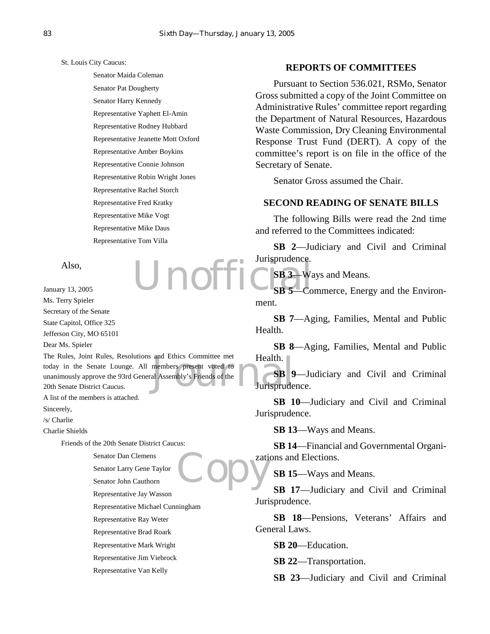St. Louis City Caucus:

Senator Maida Coleman Senator Pat Dougherty Senator Harry Kennedy Representative Yaphett El-Amin Representative Rodney Hubbard Representative Jeanette Mott Oxford Representative Amber Boykins Representative Connie Johnson Representative Robin Wright Jones Representative Rachel Storch Representative Fred Kratky Representative Mike Vogt Representative Mike Daus Representative Tom Villa

Unoffi

Also,

January 13, 2005 Ms. Terry Spieler

Secretary of the Senate State Capitol, Office 325

Jefferson City, MO 65101

Dear Ms. Spieler

and Ethics Committee met<br>
members present voted to<br>
al Assembly's Friends of the<br>
Jurisprude The Rules, Joint Rules, Resolutions and Ethics Committee met today in the Senate Lounge. All members present voted to unanimously approve the 93rd General Assembly's Friends of the 20th Senate District Caucus.

A list of the members is attached.

Sincerely,

/s/ Charlie

Charlie Shields

Friends of the 20th Senate District Caucus:

**Copy** Senator Dan Clemens Senator Larry Gene Taylor Senator John Cauthorn Representative Jay Wasson Representative Michael Cunningham Representative Ray Weter Representative Brad Roark

Representative Mark Wright

Representative Jim Viebrock

Representative Van Kelly

## **REPORTS OF COMMITTEES**

Pursuant to Section 536.021, RSMo, Senator Gross submitted a copy of the Joint Committee on Administrative Rules' committee report regarding the Department of Natural Resources, Hazardous Waste Commission, Dry Cleaning Environmental Response Trust Fund (DERT). A copy of the committee's report is on file in the office of the Secretary of Senate.

Senator Gross assumed the Chair.

## **SECOND READING OF SENATE BILLS**

The following Bills were read the 2nd time and referred to the Committees indicated:

**SB 2**—Judiciary and Civil and Criminal Jurisprudence.

**SB 3**—Ways and Means.

**SB 5**—Commerce, Energy and the Environment.

**SB 7**—Aging, Families, Mental and Public Health.

**SB 8**—Aging, Families, Mental and Public Health.

**SB 9**—Judiciary and Civil and Criminal Jurisprudence.

**SB 10**—Judiciary and Civil and Criminal Jurisprudence.

**SB 13**—Ways and Means.

**SB 14**—Financial and Governmental Organizations and Elections.

**SB 15**—Ways and Means.

**SB 17**—Judiciary and Civil and Criminal Jurisprudence.

**SB 18**—Pensions, Veterans' Affairs and General Laws.

**SB 20**—Education.

**SB 22**—Transportation.

**SB 23**—Judiciary and Civil and Criminal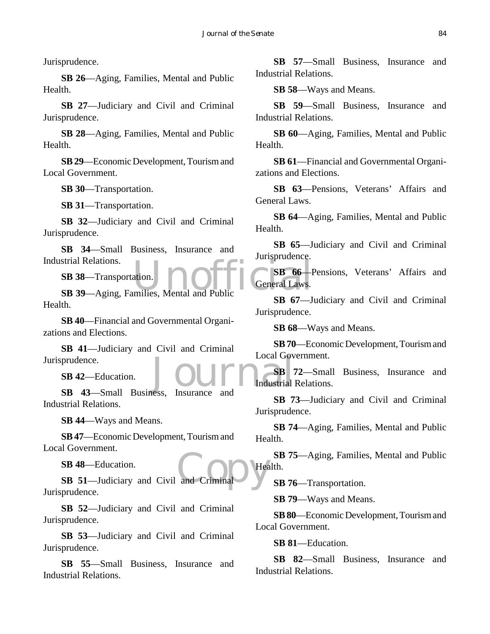Jurisprudence.

**SB 26**—Aging, Families, Mental and Public Health.

**SB 27**—Judiciary and Civil and Criminal Jurisprudence.

**SB 28**—Aging, Families, Mental and Public Health.

**SB 29**—Economic Development, Tourism and Local Government.

**SB 30**—Transportation.

**SB 31**—Transportation.

**SB 32**—Judiciary and Civil and Criminal Jurisprudence.

**SB 34**—Small Business, Insurance and Industrial Relations.

**SB 38**—Transportation.

SETTER SET ALL SERVICES:<br>
SER 39 Aging, Families, Mental and Public<br>
SER 39 Aging, Families, Mental and Public Health.

**SB 40**—Financial and Governmental Organizations and Elections.

**SB 41**—Judiciary and Civil and Criminal Jurisprudence.

**SB 42**—Education.

prudence.<br> **SB 42**—Education.<br> **SB 43**—Small Business, Insurance and Industrial Relations.

**SB 44**—Ways and Means.

**SB 47**—Economic Development, Tourism and Local Government.

**SB 48**—Education.

SB 48—Education.<br>
SB 51—Judiciary and Civil and Criminal Jurisprudence.

**SB 52**—Judiciary and Civil and Criminal Jurisprudence.

**SB 53**—Judiciary and Civil and Criminal Jurisprudence.

**SB 55**—Small Business, Insurance and Industrial Relations.

**SB 57**—Small Business, Insurance and Industrial Relations.

**SB 58**—Ways and Means.

**SB 59**—Small Business, Insurance and Industrial Relations.

**SB 60**—Aging, Families, Mental and Public Health.

**SB 61**—Financial and Governmental Organizations and Elections.

**SB 63**—Pensions, Veterans' Affairs and General Laws.

**SB 64**—Aging, Families, Mental and Public Health.

**SB 65**—Judiciary and Civil and Criminal Jurisprudence.

**SB 66**—Pensions, Veterans' Affairs and General Laws.

**SB 67**—Judiciary and Civil and Criminal Jurisprudence.

**SB 68**—Ways and Means.

**SB 70**—Economic Development, Tourism and Local Government.

**SB 72**—Small Business, Insurance and Industrial Relations.

**SB 73**—Judiciary and Civil and Criminal Jurisprudence.

**SB 74**—Aging, Families, Mental and Public Health.

**SB 75**—Aging, Families, Mental and Public Health.

**SB 76**—Transportation.

**SB 79**—Ways and Means.

**SB 80**—Economic Development, Tourism and Local Government.

**SB 81**—Education.

**SB 82**—Small Business, Insurance and Industrial Relations.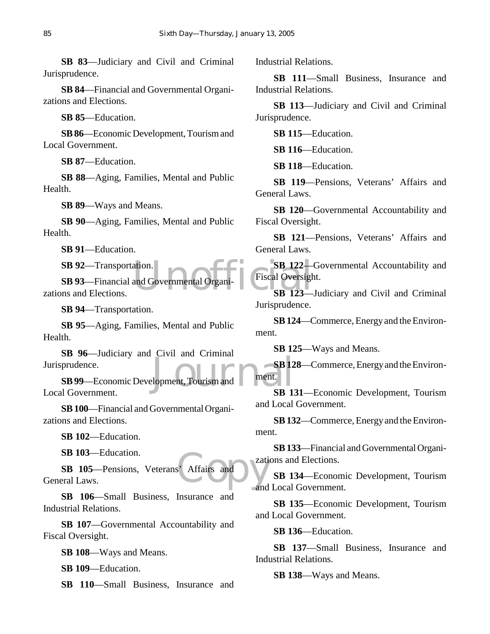**SB 83**—Judiciary and Civil and Criminal Jurisprudence.

**SB 84**—Financial and Governmental Organizations and Elections.

**SB 85**—Education.

**SB 86**—Economic Development, Tourism and Local Government.

**SB 87**—Education.

**SB 88**—Aging, Families, Mental and Public Health.

**SB 89**—Ways and Means.

**SB 90**—Aging, Families, Mental and Public Health.

**SB 91**—Education.

**SB 92**—Transportation.

ation.<br>and Governmental Organizer Fiscal Oversight<br>SB 123 **SB 93**—Financial and Governmental Organizations and Elections.

**SB 94**—Transportation.

**SB 95**—Aging, Families, Mental and Public Health.

**SB 96**—Judiciary and Civil and Criminal Jurisprudence.

SB 12<br>Depment, Tourism and Tament. **SB 99**—Economic Development, Tourism and Local Government.

**SB 100**—Financial and Governmental Organizations and Elections.

**SB 102**—Education.

**SB 103**—Education.

Affairs and **SB 105**—Pensions, Veterans' Affairs and General Laws.

**SB 106**—Small Business, Insurance and Industrial Relations.

**SB 107**—Governmental Accountability and Fiscal Oversight.

**SB 108**—Ways and Means.

**SB 109**—Education.

**SB 110**—Small Business, Insurance and

Industrial Relations.

**SB 111**—Small Business, Insurance and Industrial Relations.

**SB 113**—Judiciary and Civil and Criminal Jurisprudence.

**SB 115**—Education.

**SB 116**—Education.

**SB 118**—Education.

**SB 119**—Pensions, Veterans' Affairs and General Laws.

**SB 120**—Governmental Accountability and Fiscal Oversight.

**SB 121**—Pensions, Veterans' Affairs and General Laws.

**SB 122**—Governmental Accountability and Fiscal Oversight.

**SB 123**—Judiciary and Civil and Criminal Jurisprudence.

**SB 124**—Commerce, Energy and the Environment.

**SB 125**—Ways and Means.

**SB 128**—Commerce, Energy and the Environment.

**SB 131**—Economic Development, Tourism and Local Government.

**SB 132**—Commerce, Energy and the Environment.

**SB 133**—Financial and Governmental Organizations and Elections.

**SB 134**—Economic Development, Tourism and Local Government.

**SB 135**—Economic Development, Tourism and Local Government.

**SB 136**—Education.

**SB 137**—Small Business, Insurance and Industrial Relations.

**SB 138**—Ways and Means.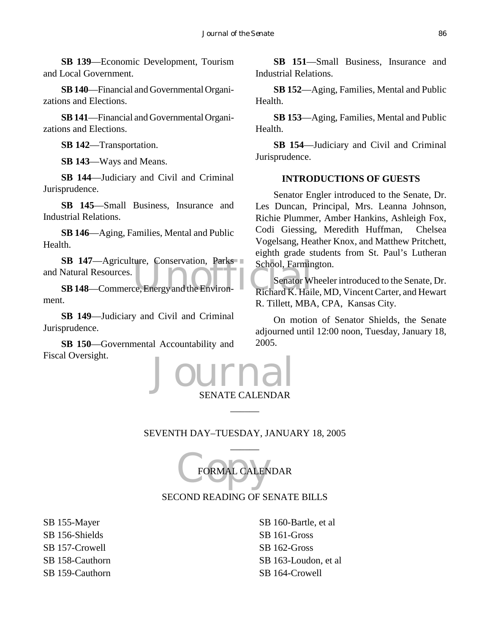**SB 139**—Economic Development, Tourism and Local Government.

**SB 140**—Financial and Governmental Organizations and Elections.

**SB 141**—Financial and Governmental Organizations and Elections.

**SB 142**—Transportation.

**SB 143**—Ways and Means.

**SB 144**—Judiciary and Civil and Criminal Jurisprudence.

**SB 145**—Small Business, Insurance and Industrial Relations.

**SB 146**—Aging, Families, Mental and Public Health.

SB 147—Agriculture, Conservation, Parks<br>
Natural Resources.<br>
SB 148—Commerce, Energy and the Environ-**Natural K. Hall**<br>
Richard K. Hall and Natural Resources.

**SB 148**—Commerce, Energy and the Environment.

**SB 149**—Judiciary and Civil and Criminal Jurisprudence.

**SB 150**—Governmental Accountability and Fiscal Oversight.

**SB 151**—Small Business, Insurance and Industrial Relations.

**SB 152**—Aging, Families, Mental and Public Health.

**SB 153**—Aging, Families, Mental and Public Health.

**SB 154**—Judiciary and Civil and Criminal Jurisprudence.

## **INTRODUCTIONS OF GUESTS**

Senator Engler introduced to the Senate, Dr. Les Duncan, Principal, Mrs. Leanna Johnson, Richie Plummer, Amber Hankins, Ashleigh Fox, Codi Giessing, Meredith Huffman, Chelsea Vogelsang, Heather Knox, and Matthew Pritchett, eighth grade students from St. Paul's Lutheran School, Farmington.

Senator Wheeler introduced to the Senate, Dr. Richard K. Haile, MD, Vincent Carter, and Hewart R. Tillett, MBA, CPA, Kansas City.

On motion of Senator Shields, the Senate adjourned until 12:00 noon, Tuesday, January 18, 2005.



## SEVENTH DAY–TUESDAY, JANUARY 18, 2005  $\overline{\phantom{a}}$

 $\overline{\phantom{a}}$ 

FORMAL CALEN FORMAL CALENDAR

## SECOND READING OF SENATE BILLS

SB 155-Mayer SB 156-Shields SB 157-Crowell SB 158-Cauthorn SB 159-Cauthorn

SB 160-Bartle, et al SB 161-Gross SB 162-Gross SB 163-Loudon, et al SB 164-Crowell